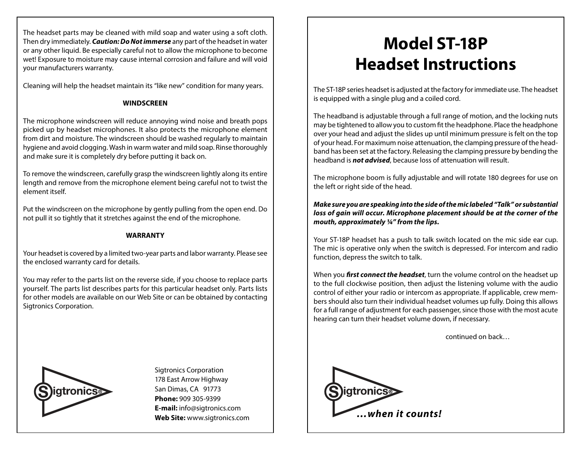The headset parts may be cleaned with mild soap and water using a soft cloth. Then dry immediately. *Caution: Do Not immerse* any part of the headset in water or any other liquid. Be especially careful not to allow the microphone to become wet! Exposure to moisture may cause internal corrosion and failure and will void your manufacturers warranty.

Cleaning will help the headset maintain its "like new" condition for many years.

## **WINDSCREEN**

The microphone windscreen will reduce annoying wind noise and breath pops picked up by headset microphones. It also protects the microphone element from dirt and moisture. The windscreen should be washed regularly to maintain hygiene and avoid clogging. Wash in warm water and mild soap. Rinse thoroughly and make sure it is completely dry before putting it back on.

To remove the windscreen, carefully grasp the windscreen lightly along its entire length and remove from the microphone element being careful not to twist the element itself.

Put the windscreen on the microphone by gently pulling from the open end. Do not pull it so tightly that it stretches against the end of the microphone.

## **WARRANTY**

Your headset is covered by a limited two-year parts and labor warranty. Please see the enclosed warranty card for details.

You may refer to the parts list on the reverse side, if you choose to replace parts yourself. The parts list describes parts for this particular headset only. Parts lists for other models are available on our Web Site or can be obtained by contacting Sigtronics Corporation.



Sigtronics Corporation 178 East Arrow Highway San Dimas, CA 91773 **Phone:** 909 305-9399 **E-mail:** info@sigtronics.com

## **Model ST-18P Headset Instructions**

The ST-18P series headset is adjusted at the factory for immediate use. The headset is equipped with a single plug and a coiled cord.

The headband is adjustable through a full range of motion, and the locking nuts may be tightened to allow you to custom fit the headphone. Place the headphone over your head and adjust the slides up until minimum pressure is felt on the top of your head. For maximum noise attenuation, the clamping pressure of the headband has been set at the factory. Releasing the clamping pressure by bending the headband is *not advised*, because loss of attenuation will result.

The microphone boom is fully adjustable and will rotate 180 degrees for use on the left or right side of the head.

*Make sure you are speaking into the side of the mic labeled "Talk" or substantial loss of gain will occur. Microphone placement should be at the corner of the mouth, approximately ¼" from the lips.*

Your ST-18P headset has a push to talk switch located on the mic side ear cup. The mic is operative only when the switch is depressed. For intercom and radio function, depress the switch to talk.

When you *first connect the headset*, turn the volume control on the headset up to the full clockwise position, then adjust the listening volume with the audio control of either your radio or intercom as appropriate. If applicable, crew members should also turn their individual headset volumes up fully. Doing this allows for a full range of adjustment for each passenger, since those with the most acute hearing can turn their headset volume down, if necessary.

continued on back…